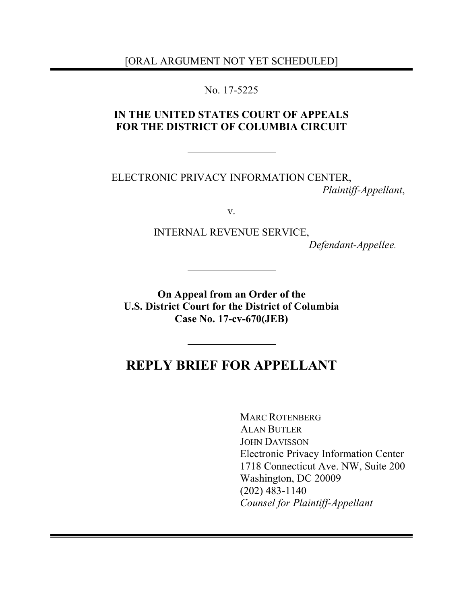[ORAL ARGUMENT NOT YET SCHEDULED]

No. 17-5225

## **IN THE UNITED STATES COURT OF APPEALS FOR THE DISTRICT OF COLUMBIA CIRCUIT**

ELECTRONIC PRIVACY INFORMATION CENTER, *Plaintiff-Appellant*,

v.

INTERNAL REVENUE SERVICE,

*Defendant-Appellee.*

**On Appeal from an Order of the U.S. District Court for the District of Columbia Case No. 17-cv-670(JEB)**

# **REPLY BRIEF FOR APPELLANT**

MARC ROTENBERG ALAN BUTLER JOHN DAVISSON Electronic Privacy Information Center 1718 Connecticut Ave. NW, Suite 200 Washington, DC 20009 (202) 483-1140 *Counsel for Plaintiff-Appellant*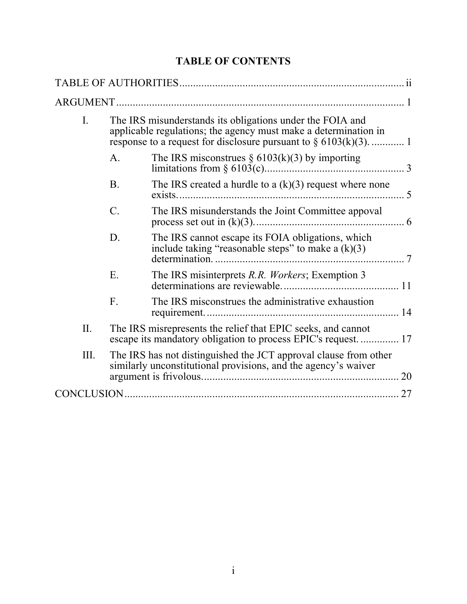## **TABLE OF CONTENTS**

| I.        |                 | The IRS misunderstands its obligations under the FOIA and<br>applicable regulations; the agency must make a determination in       |    |
|-----------|-----------------|------------------------------------------------------------------------------------------------------------------------------------|----|
|           | A <sub>1</sub>  | The IRS misconstrues $\S 6103(k)(3)$ by importing                                                                                  |    |
|           | <b>B.</b>       | The IRS created a hurdle to a $(k)(3)$ request where none                                                                          |    |
|           | $\mathcal{C}$ . | The IRS misunderstands the Joint Committee appoval                                                                                 |    |
|           | D.              | The IRS cannot escape its FOIA obligations, which<br>include taking "reasonable steps" to make a $(k)(3)$                          |    |
|           | Ε.              | The IRS misinterprets R.R. Workers; Exemption 3                                                                                    |    |
|           | F.              | The IRS misconstrues the administrative exhaustion                                                                                 |    |
| $\prod$ . |                 | The IRS misrepresents the relief that EPIC seeks, and cannot<br>escape its mandatory obligation to process EPIC's request 17       |    |
| Ш.        |                 | The IRS has not distinguished the JCT approval clause from other<br>similarly unconstitutional provisions, and the agency's waiver | 20 |
|           |                 |                                                                                                                                    | 27 |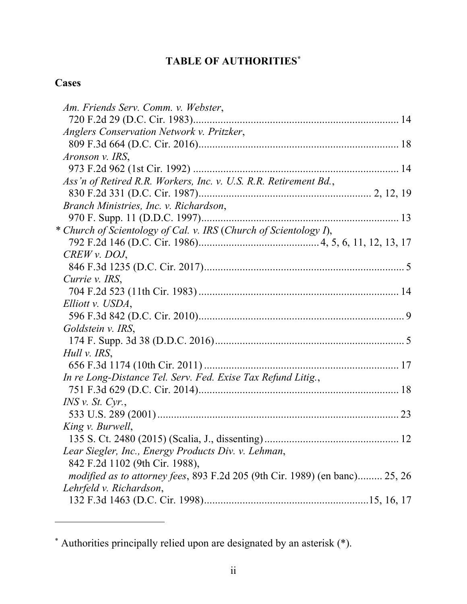# **TABLE OF AUTHORITIES\***

# **Cases**

 $\overline{a}$ 

| Am. Friends Serv. Comm. v. Webster,                                                |  |
|------------------------------------------------------------------------------------|--|
|                                                                                    |  |
| Anglers Conservation Network v. Pritzker,                                          |  |
|                                                                                    |  |
| Aronson v. IRS,                                                                    |  |
|                                                                                    |  |
| Ass'n of Retired R.R. Workers, Inc. v. U.S. R.R. Retirement Bd.,                   |  |
|                                                                                    |  |
| Branch Ministries, Inc. v. Richardson,                                             |  |
|                                                                                    |  |
| * Church of Scientology of Cal. v. IRS (Church of Scientology I),                  |  |
|                                                                                    |  |
| $CREW$ v. DOJ,                                                                     |  |
|                                                                                    |  |
| Currie v. IRS,                                                                     |  |
|                                                                                    |  |
| Elliott v. USDA,                                                                   |  |
|                                                                                    |  |
| Goldstein v. IRS,                                                                  |  |
|                                                                                    |  |
| Hull v. IRS,                                                                       |  |
|                                                                                    |  |
| In re Long-Distance Tel. Serv. Fed. Exise Tax Refund Litig.,                       |  |
|                                                                                    |  |
| $INS$ v. St. Cyr.,                                                                 |  |
|                                                                                    |  |
| King v. Burwell,                                                                   |  |
|                                                                                    |  |
| Lear Siegler, Inc., Energy Products Div. v. Lehman,                                |  |
| 842 F.2d 1102 (9th Cir. 1988),                                                     |  |
| <i>modified as to attorney fees, 893 F.2d 205 (9th Cir. 1989) (en banc) 25, 26</i> |  |
| Lehrfeld v. Richardson,                                                            |  |
|                                                                                    |  |

<sup>\*</sup> Authorities principally relied upon are designated by an asterisk (\*).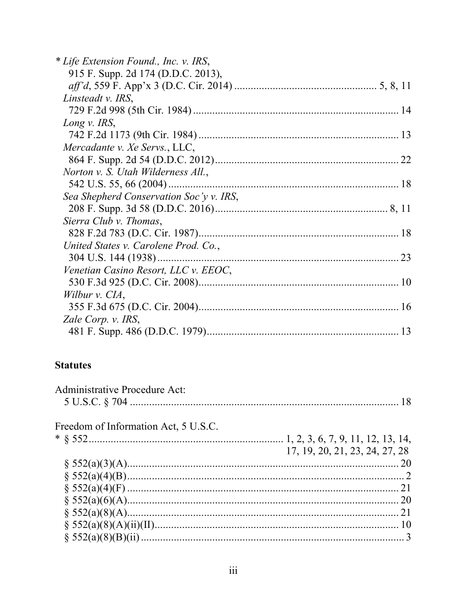| * Life Extension Found., Inc. v. IRS,   |    |
|-----------------------------------------|----|
| 915 F. Supp. 2d 174 (D.D.C. 2013),      |    |
|                                         |    |
| Linsteadt v. IRS,                       |    |
|                                         |    |
| Long v. IRS,                            |    |
|                                         |    |
| Mercadante v. Xe Servs., LLC,           |    |
|                                         |    |
| Norton v. S. Utah Wilderness All.,      |    |
| 542 U.S. 55, 66 (2004)                  |    |
| Sea Shepherd Conservation Soc'y v. IRS, |    |
|                                         |    |
| Sierra Club v. Thomas,                  |    |
|                                         |    |
| United States v. Carolene Prod. Co.,    |    |
|                                         | 23 |
| Venetian Casino Resort, LLC v. EEOC,    |    |
|                                         |    |
| Wilbur v. CIA,                          |    |
|                                         |    |
| Zale Corp. v. IRS,                      |    |
|                                         |    |

## **Statutes**

| Freedom of Information Act, 5 U.S.C. |    |
|--------------------------------------|----|
|                                      |    |
| 17, 19, 20, 21, 23, 24, 27, 28       |    |
|                                      | 20 |
|                                      |    |
|                                      |    |
|                                      |    |
|                                      | 21 |
|                                      |    |
|                                      |    |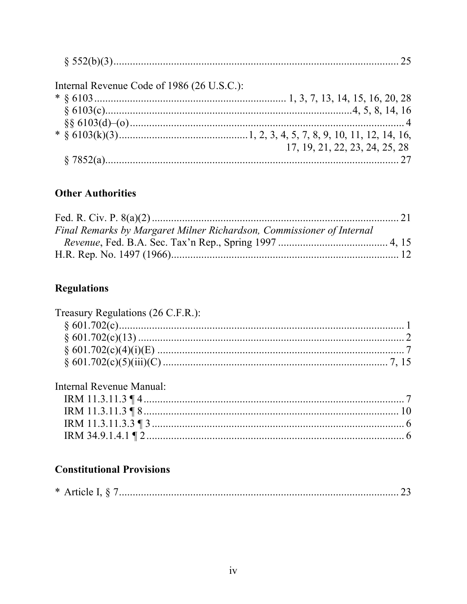| Internal Revenue Code of 1986 (26 U.S.C.): |                                |
|--------------------------------------------|--------------------------------|
|                                            |                                |
|                                            |                                |
|                                            |                                |
|                                            |                                |
|                                            | 17, 19, 21, 22, 23, 24, 25, 28 |
|                                            |                                |
|                                            |                                |

## **Other Authorities**

| Final Remarks by Margaret Milner Richardson, Commissioner of Internal |  |  |
|-----------------------------------------------------------------------|--|--|
|                                                                       |  |  |
|                                                                       |  |  |

# **Regulations**

| Treasury Regulations (26 C.F.R.): |  |
|-----------------------------------|--|
|                                   |  |
|                                   |  |
|                                   |  |
|                                   |  |
|                                   |  |

| Internal Revenue Manual: |  |
|--------------------------|--|
|                          |  |
|                          |  |
|                          |  |
|                          |  |

# **Constitutional Provisions**

|--|--|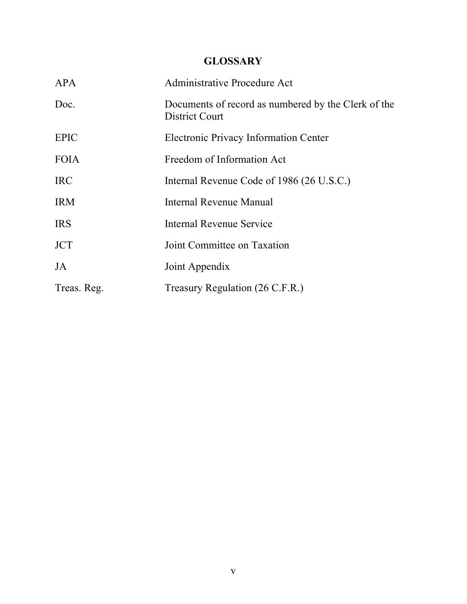## **GLOSSARY**

| <b>APA</b>  | Administrative Procedure Act                                          |
|-------------|-----------------------------------------------------------------------|
| Doc.        | Documents of record as numbered by the Clerk of the<br>District Court |
| <b>EPIC</b> | Electronic Privacy Information Center                                 |
| <b>FOIA</b> | Freedom of Information Act                                            |
| <b>IRC</b>  | Internal Revenue Code of 1986 (26 U.S.C.)                             |
| <b>IRM</b>  | Internal Revenue Manual                                               |
| <b>IRS</b>  | <b>Internal Revenue Service</b>                                       |
| <b>JCT</b>  | Joint Committee on Taxation                                           |
| JA          | Joint Appendix                                                        |
| Treas. Reg. | Treasury Regulation (26 C.F.R.)                                       |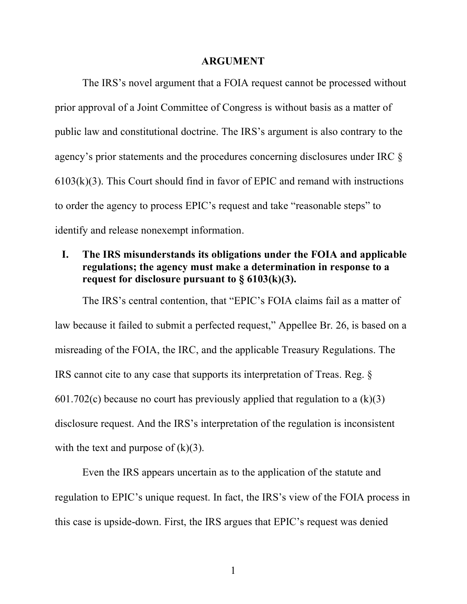#### **ARGUMENT**

The IRS's novel argument that a FOIA request cannot be processed without prior approval of a Joint Committee of Congress is without basis as a matter of public law and constitutional doctrine. The IRS's argument is also contrary to the agency's prior statements and the procedures concerning disclosures under IRC §  $6103(k)(3)$ . This Court should find in favor of EPIC and remand with instructions to order the agency to process EPIC's request and take "reasonable steps" to identify and release nonexempt information.

### **I. The IRS misunderstands its obligations under the FOIA and applicable regulations; the agency must make a determination in response to a request for disclosure pursuant to § 6103(k)(3).**

The IRS's central contention, that "EPIC's FOIA claims fail as a matter of law because it failed to submit a perfected request," Appellee Br. 26, is based on a misreading of the FOIA, the IRC, and the applicable Treasury Regulations. The IRS cannot cite to any case that supports its interpretation of Treas. Reg. § 601.702(c) because no court has previously applied that regulation to a  $(k)(3)$ disclosure request. And the IRS's interpretation of the regulation is inconsistent with the text and purpose of  $(k)(3)$ .

Even the IRS appears uncertain as to the application of the statute and regulation to EPIC's unique request. In fact, the IRS's view of the FOIA process in this case is upside-down. First, the IRS argues that EPIC's request was denied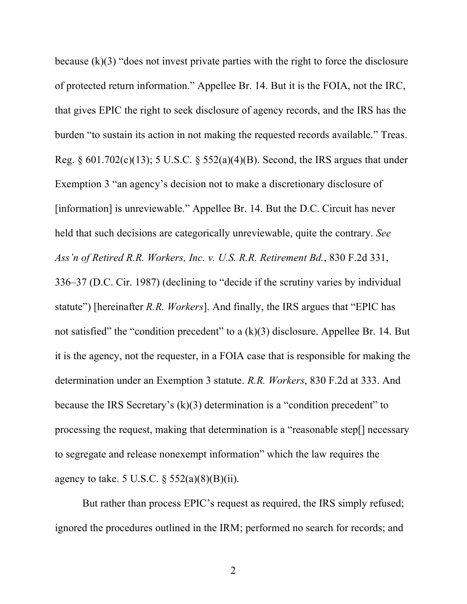because  $(k)(3)$  "does not invest private parties with the right to force the disclosure of protected return information." Appellee Br. 14. But it is the FOIA, not the IRC, that gives EPIC the right to seek disclosure of agency records, and the IRS has the burden "to sustain its action in not making the requested records available." Treas. Reg.  $\S 601.702(c)(13)$ ; 5 U.S.C.  $\S 552(a)(4)(B)$ . Second, the IRS argues that under Exemption 3 "an agency's decision not to make a discretionary disclosure of [information] is unreviewable." Appellee Br. 14. But the D.C. Circuit has never held that such decisions are categorically unreviewable, quite the contrary. *See Ass'n of Retired R.R. Workers, Inc. v. U.S. R.R. Retirement Bd.*, 830 F.2d 331, 336–37 (D.C. Cir. 1987) (declining to "decide if the scrutiny varies by individual statute") [hereinafter *R.R. Workers*]. And finally, the IRS argues that "EPIC has not satisfied" the "condition precedent" to a (k)(3) disclosure. Appellee Br. 14. But it is the agency, not the requester, in a FOIA case that is responsible for making the determination under an Exemption 3 statute. *R.R. Workers*, 830 F.2d at 333. And because the IRS Secretary's (k)(3) determination is a "condition precedent" to processing the request, making that determination is a "reasonable step[] necessary to segregate and release nonexempt information" which the law requires the agency to take. 5 U.S.C.  $\S$  552(a)(8)(B)(ii).

But rather than process EPIC's request as required, the IRS simply refused; ignored the procedures outlined in the IRM; performed no search for records; and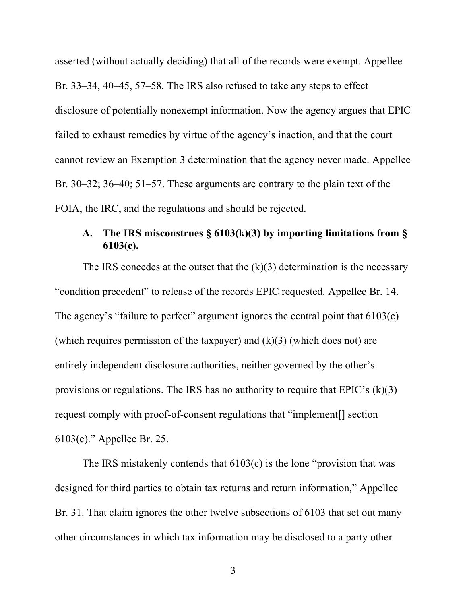asserted (without actually deciding) that all of the records were exempt. Appellee Br. 33–34, 40–45, 57–58*.* The IRS also refused to take any steps to effect disclosure of potentially nonexempt information. Now the agency argues that EPIC failed to exhaust remedies by virtue of the agency's inaction, and that the court cannot review an Exemption 3 determination that the agency never made. Appellee Br. 30–32; 36–40; 51–57. These arguments are contrary to the plain text of the FOIA, the IRC, and the regulations and should be rejected.

### **A. The IRS misconstrues § 6103(k)(3) by importing limitations from § 6103(c).**

The IRS concedes at the outset that the  $(k)(3)$  determination is the necessary "condition precedent" to release of the records EPIC requested. Appellee Br. 14. The agency's "failure to perfect" argument ignores the central point that 6103(c) (which requires permission of the taxpayer) and  $(k)(3)$  (which does not) are entirely independent disclosure authorities, neither governed by the other's provisions or regulations. The IRS has no authority to require that  $E\text{PIC's (k)(3)}$ request comply with proof-of-consent regulations that "implement[] section 6103(c)." Appellee Br. 25.

The IRS mistakenly contends that 6103(c) is the lone "provision that was designed for third parties to obtain tax returns and return information," Appellee Br. 31. That claim ignores the other twelve subsections of 6103 that set out many other circumstances in which tax information may be disclosed to a party other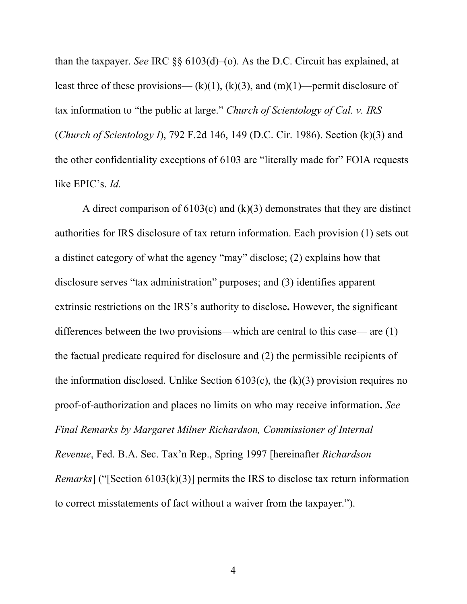than the taxpayer. *See* IRC §§ 6103(d)–(o). As the D.C. Circuit has explained, at least three of these provisions—  $(k)(1)$ ,  $(k)(3)$ , and  $(m)(1)$ —permit disclosure of tax information to "the public at large." *Church of Scientology of Cal. v. IRS* (*Church of Scientology I*), 792 F.2d 146, 149 (D.C. Cir. 1986). Section (k)(3) and the other confidentiality exceptions of 6103 are "literally made for" FOIA requests like EPIC's. *Id.*

A direct comparison of  $6103(c)$  and  $(k)(3)$  demonstrates that they are distinct authorities for IRS disclosure of tax return information. Each provision (1) sets out a distinct category of what the agency "may" disclose; (2) explains how that disclosure serves "tax administration" purposes; and (3) identifies apparent extrinsic restrictions on the IRS's authority to disclose**.** However, the significant differences between the two provisions—which are central to this case— are (1) the factual predicate required for disclosure and (2) the permissible recipients of the information disclosed. Unlike Section  $6103(c)$ , the  $(k)(3)$  provision requires no proof-of-authorization and places no limits on who may receive information**.** *See Final Remarks by Margaret Milner Richardson, Commissioner of Internal Revenue*, Fed. B.A. Sec. Tax'n Rep., Spring 1997 [hereinafter *Richardson Remarks*] ("[Section 6103(k)(3)] permits the IRS to disclose tax return information to correct misstatements of fact without a waiver from the taxpayer.").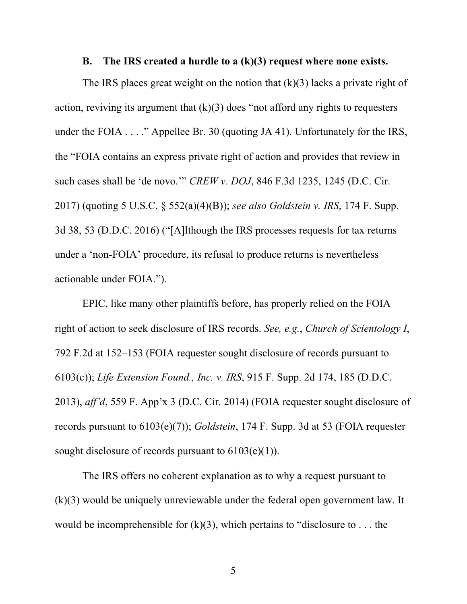#### **B. The IRS created a hurdle to a (k)(3) request where none exists.**

The IRS places great weight on the notion that  $(k)(3)$  lacks a private right of action, reviving its argument that  $(k)(3)$  does "not afford any rights to requesters under the FOIA  $\dots$  ." Appellee Br. 30 (quoting JA 41). Unfortunately for the IRS, the "FOIA contains an express private right of action and provides that review in such cases shall be 'de novo.'" *CREW v. DOJ*, 846 F.3d 1235, 1245 (D.C. Cir. 2017) (quoting 5 U.S.C. § 552(a)(4)(B)); *see also Goldstein v. IRS*, 174 F. Supp. 3d 38, 53 (D.D.C. 2016) ("[A]lthough the IRS processes requests for tax returns under a 'non-FOIA' procedure, its refusal to produce returns is nevertheless actionable under FOIA.").

EPIC, like many other plaintiffs before, has properly relied on the FOIA right of action to seek disclosure of IRS records. *See, e.g.*, *Church of Scientology I*, 792 F.2d at 152–153 (FOIA requester sought disclosure of records pursuant to 6103(c)); *Life Extension Found., Inc. v. IRS*, 915 F. Supp. 2d 174, 185 (D.D.C. 2013), *aff'd*, 559 F. App'x 3 (D.C. Cir. 2014) (FOIA requester sought disclosure of records pursuant to 6103(e)(7)); *Goldstein*, 174 F. Supp. 3d at 53 (FOIA requester sought disclosure of records pursuant to  $6103(e)(1)$ ).

The IRS offers no coherent explanation as to why a request pursuant to (k)(3) would be uniquely unreviewable under the federal open government law. It would be incomprehensible for  $(k)(3)$ , which pertains to "disclosure to ... the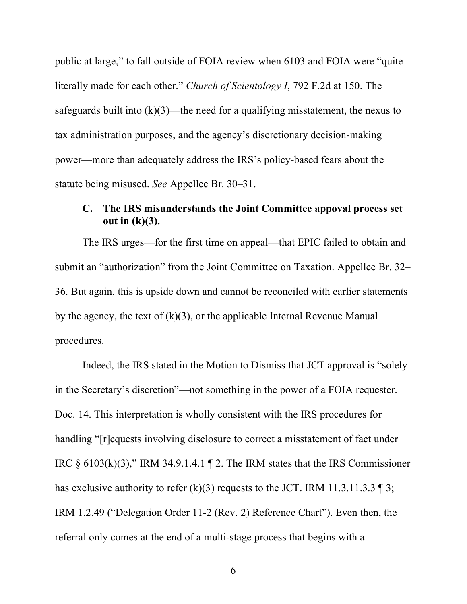public at large," to fall outside of FOIA review when 6103 and FOIA were "quite literally made for each other." *Church of Scientology I*, 792 F.2d at 150. The safeguards built into  $(k)(3)$ —the need for a qualifying misstatement, the nexus to tax administration purposes, and the agency's discretionary decision-making power—more than adequately address the IRS's policy-based fears about the statute being misused. *See* Appellee Br. 30–31.

### **C. The IRS misunderstands the Joint Committee appoval process set out in (k)(3).**

The IRS urges—for the first time on appeal—that EPIC failed to obtain and submit an "authorization" from the Joint Committee on Taxation. Appellee Br. 32– 36. But again, this is upside down and cannot be reconciled with earlier statements by the agency, the text of  $(k)(3)$ , or the applicable Internal Revenue Manual procedures.

Indeed, the IRS stated in the Motion to Dismiss that JCT approval is "solely in the Secretary's discretion"—not something in the power of a FOIA requester. Doc. 14. This interpretation is wholly consistent with the IRS procedures for handling "[r]equests involving disclosure to correct a misstatement of fact under IRC  $\S$  6103(k)(3)," IRM 34.9.1.4.1 ¶ 2. The IRM states that the IRS Commissioner has exclusive authority to refer (k)(3) requests to the JCT. IRM 11.3.11.3.3  $\parallel$  3; IRM 1.2.49 ("Delegation Order 11-2 (Rev. 2) Reference Chart"). Even then, the referral only comes at the end of a multi-stage process that begins with a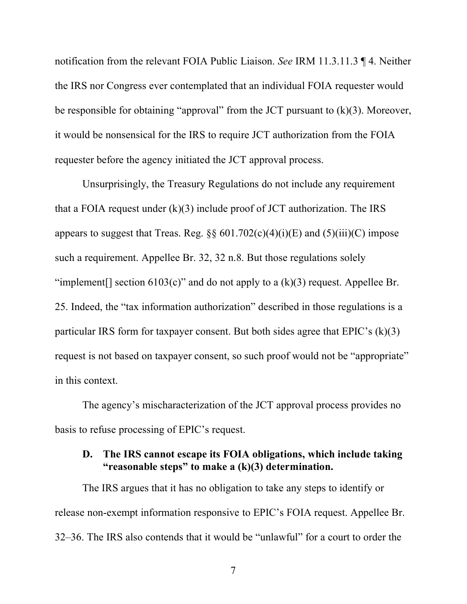notification from the relevant FOIA Public Liaison. *See* IRM 11.3.11.3 ¶ 4. Neither the IRS nor Congress ever contemplated that an individual FOIA requester would be responsible for obtaining "approval" from the JCT pursuant to  $(k)(3)$ . Moreover, it would be nonsensical for the IRS to require JCT authorization from the FOIA requester before the agency initiated the JCT approval process.

Unsurprisingly, the Treasury Regulations do not include any requirement that a FOIA request under  $(k)(3)$  include proof of JCT authorization. The IRS appears to suggest that Treas. Reg.  $\S\S 601.702(c)(4)(i)(E)$  and  $(5)(iii)(C)$  impose such a requirement. Appellee Br. 32, 32 n.8. But those regulations solely "implement[] section  $6103(c)$ " and do not apply to a  $(k)(3)$  request. Appellee Br. 25. Indeed, the "tax information authorization" described in those regulations is a particular IRS form for taxpayer consent. But both sides agree that  $E\text{PIC's (k)(3)}$ request is not based on taxpayer consent, so such proof would not be "appropriate" in this context.

The agency's mischaracterization of the JCT approval process provides no basis to refuse processing of EPIC's request.

#### **D. The IRS cannot escape its FOIA obligations, which include taking "reasonable steps" to make a (k)(3) determination.**

The IRS argues that it has no obligation to take any steps to identify or release non-exempt information responsive to EPIC's FOIA request. Appellee Br. 32–36. The IRS also contends that it would be "unlawful" for a court to order the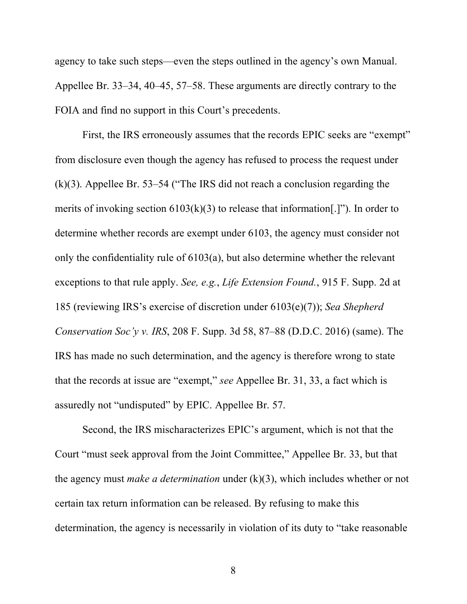agency to take such steps—even the steps outlined in the agency's own Manual. Appellee Br. 33–34, 40–45, 57–58. These arguments are directly contrary to the FOIA and find no support in this Court's precedents.

First, the IRS erroneously assumes that the records EPIC seeks are "exempt" from disclosure even though the agency has refused to process the request under (k)(3). Appellee Br. 53–54 ("The IRS did not reach a conclusion regarding the merits of invoking section  $6103(k)(3)$  to release that information[.]"). In order to determine whether records are exempt under 6103, the agency must consider not only the confidentiality rule of 6103(a), but also determine whether the relevant exceptions to that rule apply. *See, e.g.*, *Life Extension Found.*, 915 F. Supp. 2d at 185 (reviewing IRS's exercise of discretion under 6103(e)(7)); *Sea Shepherd Conservation Soc'y v. IRS*, 208 F. Supp. 3d 58, 87–88 (D.D.C. 2016) (same). The IRS has made no such determination, and the agency is therefore wrong to state that the records at issue are "exempt," *see* Appellee Br. 31, 33, a fact which is assuredly not "undisputed" by EPIC. Appellee Br. 57.

Second, the IRS mischaracterizes EPIC's argument, which is not that the Court "must seek approval from the Joint Committee," Appellee Br. 33, but that the agency must *make a determination* under (k)(3), which includes whether or not certain tax return information can be released. By refusing to make this determination, the agency is necessarily in violation of its duty to "take reasonable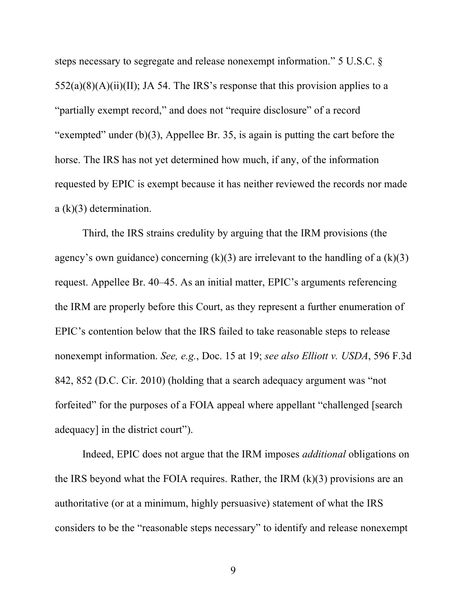steps necessary to segregate and release nonexempt information." 5 U.S.C. §  $552(a)(8)(A)(ii)(II)$ ; JA 54. The IRS's response that this provision applies to a "partially exempt record," and does not "require disclosure" of a record "exempted" under  $(b)(3)$ , Appellee Br. 35, is again is putting the cart before the horse. The IRS has not yet determined how much, if any, of the information requested by EPIC is exempt because it has neither reviewed the records nor made a (k)(3) determination.

Third, the IRS strains credulity by arguing that the IRM provisions (the agency's own guidance) concerning  $(k)(3)$  are irrelevant to the handling of a  $(k)(3)$ request. Appellee Br. 40–45. As an initial matter, EPIC's arguments referencing the IRM are properly before this Court, as they represent a further enumeration of EPIC's contention below that the IRS failed to take reasonable steps to release nonexempt information. *See, e.g.*, Doc. 15 at 19; *see also Elliott v. USDA*, 596 F.3d 842, 852 (D.C. Cir. 2010) (holding that a search adequacy argument was "not forfeited" for the purposes of a FOIA appeal where appellant "challenged [search adequacy] in the district court").

Indeed, EPIC does not argue that the IRM imposes *additional* obligations on the IRS beyond what the FOIA requires. Rather, the IRM (k)(3) provisions are an authoritative (or at a minimum, highly persuasive) statement of what the IRS considers to be the "reasonable steps necessary" to identify and release nonexempt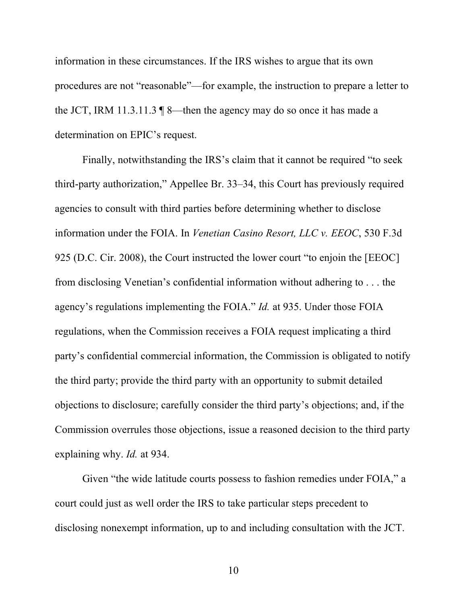information in these circumstances. If the IRS wishes to argue that its own procedures are not "reasonable"—for example, the instruction to prepare a letter to the JCT, IRM 11.3.11.3 ¶ 8—then the agency may do so once it has made a determination on EPIC's request.

Finally, notwithstanding the IRS's claim that it cannot be required "to seek third-party authorization," Appellee Br. 33–34, this Court has previously required agencies to consult with third parties before determining whether to disclose information under the FOIA. In *Venetian Casino Resort, LLC v. EEOC*, 530 F.3d 925 (D.C. Cir. 2008), the Court instructed the lower court "to enjoin the [EEOC] from disclosing Venetian's confidential information without adhering to . . . the agency's regulations implementing the FOIA." *Id.* at 935. Under those FOIA regulations, when the Commission receives a FOIA request implicating a third party's confidential commercial information, the Commission is obligated to notify the third party; provide the third party with an opportunity to submit detailed objections to disclosure; carefully consider the third party's objections; and, if the Commission overrules those objections, issue a reasoned decision to the third party explaining why. *Id.* at 934.

Given "the wide latitude courts possess to fashion remedies under FOIA," a court could just as well order the IRS to take particular steps precedent to disclosing nonexempt information, up to and including consultation with the JCT.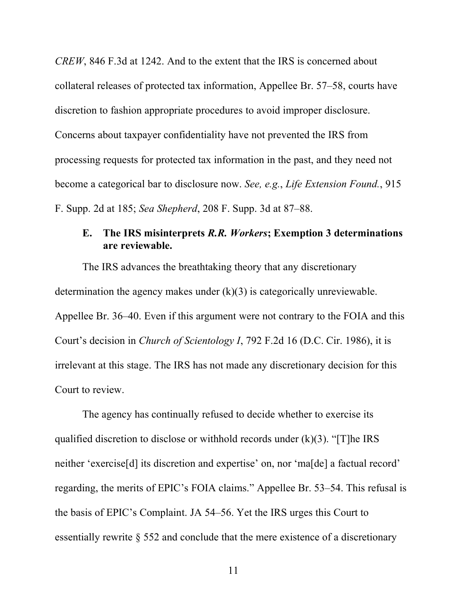*CREW*, 846 F.3d at 1242. And to the extent that the IRS is concerned about collateral releases of protected tax information, Appellee Br. 57–58, courts have discretion to fashion appropriate procedures to avoid improper disclosure. Concerns about taxpayer confidentiality have not prevented the IRS from processing requests for protected tax information in the past, and they need not become a categorical bar to disclosure now. *See, e.g.*, *Life Extension Found.*, 915 F. Supp. 2d at 185; *Sea Shepherd*, 208 F. Supp. 3d at 87–88.

### **E. The IRS misinterprets** *R.R. Workers***; Exemption 3 determinations are reviewable.**

The IRS advances the breathtaking theory that any discretionary determination the agency makes under  $(k)(3)$  is categorically unreviewable. Appellee Br. 36–40. Even if this argument were not contrary to the FOIA and this Court's decision in *Church of Scientology I*, 792 F.2d 16 (D.C. Cir. 1986), it is irrelevant at this stage. The IRS has not made any discretionary decision for this Court to review.

The agency has continually refused to decide whether to exercise its qualified discretion to disclose or withhold records under  $(k)(3)$ . "[T]he IRS neither 'exercise[d] its discretion and expertise' on, nor 'ma[de] a factual record' regarding, the merits of EPIC's FOIA claims." Appellee Br. 53–54. This refusal is the basis of EPIC's Complaint. JA 54–56. Yet the IRS urges this Court to essentially rewrite § 552 and conclude that the mere existence of a discretionary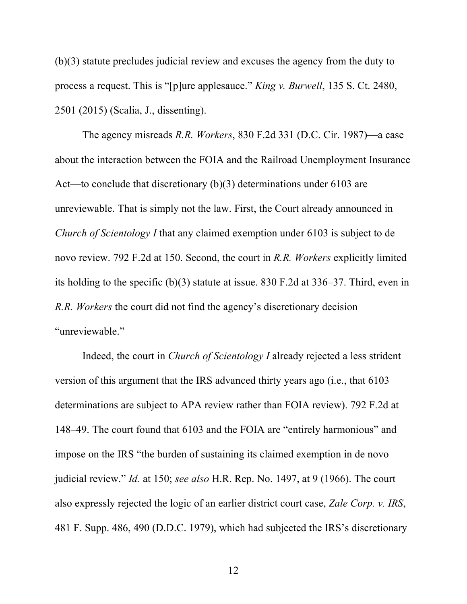(b)(3) statute precludes judicial review and excuses the agency from the duty to process a request. This is "[p]ure applesauce." *King v. Burwell*, 135 S. Ct. 2480, 2501 (2015) (Scalia, J., dissenting).

The agency misreads *R.R. Workers*, 830 F.2d 331 (D.C. Cir. 1987)—a case about the interaction between the FOIA and the Railroad Unemployment Insurance Act—to conclude that discretionary (b)(3) determinations under 6103 are unreviewable. That is simply not the law. First, the Court already announced in *Church of Scientology I* that any claimed exemption under 6103 is subject to de novo review. 792 F.2d at 150. Second, the court in *R.R. Workers* explicitly limited its holding to the specific (b)(3) statute at issue. 830 F.2d at 336–37. Third, even in *R.R. Workers* the court did not find the agency's discretionary decision "unreviewable."

Indeed, the court in *Church of Scientology I* already rejected a less strident version of this argument that the IRS advanced thirty years ago (i.e., that 6103 determinations are subject to APA review rather than FOIA review). 792 F.2d at 148–49. The court found that 6103 and the FOIA are "entirely harmonious" and impose on the IRS "the burden of sustaining its claimed exemption in de novo judicial review." *Id.* at 150; *see also* H.R. Rep. No. 1497, at 9 (1966). The court also expressly rejected the logic of an earlier district court case, *Zale Corp. v. IRS*, 481 F. Supp. 486, 490 (D.D.C. 1979), which had subjected the IRS's discretionary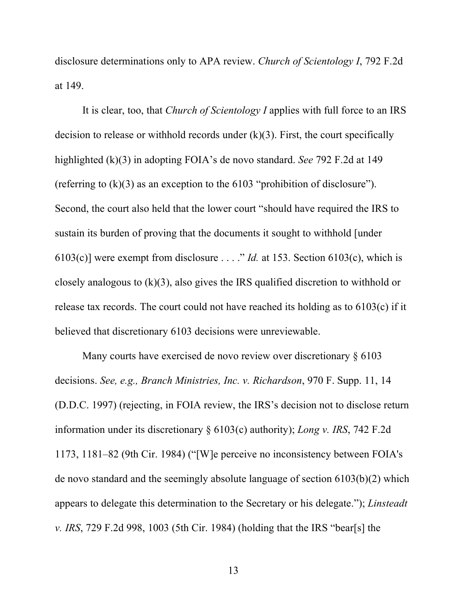disclosure determinations only to APA review. *Church of Scientology I*, 792 F.2d at 149.

It is clear, too, that *Church of Scientology I* applies with full force to an IRS decision to release or withhold records under  $(k)(3)$ . First, the court specifically highlighted (k)(3) in adopting FOIA's de novo standard. *See* 792 F.2d at 149 (referring to (k)(3) as an exception to the 6103 "prohibition of disclosure"). Second, the court also held that the lower court "should have required the IRS to sustain its burden of proving that the documents it sought to withhold [under 6103(c)] were exempt from disclosure . . . ." *Id.* at 153. Section 6103(c), which is closely analogous to (k)(3), also gives the IRS qualified discretion to withhold or release tax records. The court could not have reached its holding as to 6103(c) if it believed that discretionary 6103 decisions were unreviewable.

Many courts have exercised de novo review over discretionary  $\S 6103$ decisions. *See, e.g., Branch Ministries, Inc. v. Richardson*, 970 F. Supp. 11, 14 (D.D.C. 1997) (rejecting, in FOIA review, the IRS's decision not to disclose return information under its discretionary § 6103(c) authority); *Long v. IRS*, 742 F.2d 1173, 1181–82 (9th Cir. 1984) ("[W]e perceive no inconsistency between FOIA's de novo standard and the seemingly absolute language of section 6103(b)(2) which appears to delegate this determination to the Secretary or his delegate."); *Linsteadt v. IRS*, 729 F.2d 998, 1003 (5th Cir. 1984) (holding that the IRS "bear[s] the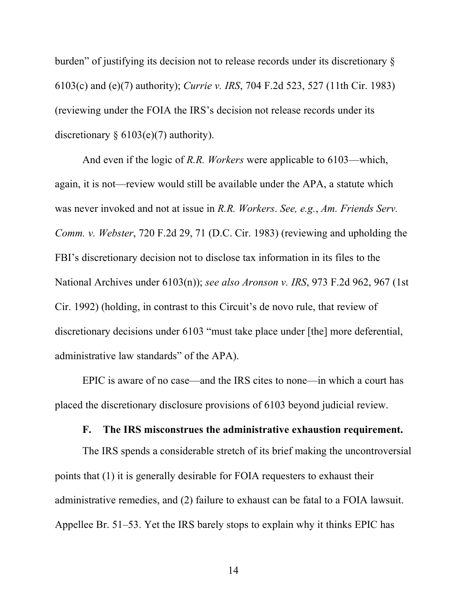burden" of justifying its decision not to release records under its discretionary § 6103(c) and (e)(7) authority); *Currie v. IRS*, 704 F.2d 523, 527 (11th Cir. 1983) (reviewing under the FOIA the IRS's decision not release records under its discretionary  $§ 6103(e)(7)$  authority).

And even if the logic of *R.R. Workers* were applicable to 6103—which, again, it is not—review would still be available under the APA, a statute which was never invoked and not at issue in *R.R. Workers*. *See, e.g.*, *Am. Friends Serv. Comm. v. Webster*, 720 F.2d 29, 71 (D.C. Cir. 1983) (reviewing and upholding the FBI's discretionary decision not to disclose tax information in its files to the National Archives under 6103(n)); *see also Aronson v. IRS*, 973 F.2d 962, 967 (1st Cir. 1992) (holding, in contrast to this Circuit's de novo rule, that review of discretionary decisions under 6103 "must take place under [the] more deferential, administrative law standards" of the APA).

EPIC is aware of no case—and the IRS cites to none—in which a court has placed the discretionary disclosure provisions of 6103 beyond judicial review.

#### **F. The IRS misconstrues the administrative exhaustion requirement.**

The IRS spends a considerable stretch of its brief making the uncontroversial points that (1) it is generally desirable for FOIA requesters to exhaust their administrative remedies, and (2) failure to exhaust can be fatal to a FOIA lawsuit. Appellee Br. 51–53. Yet the IRS barely stops to explain why it thinks EPIC has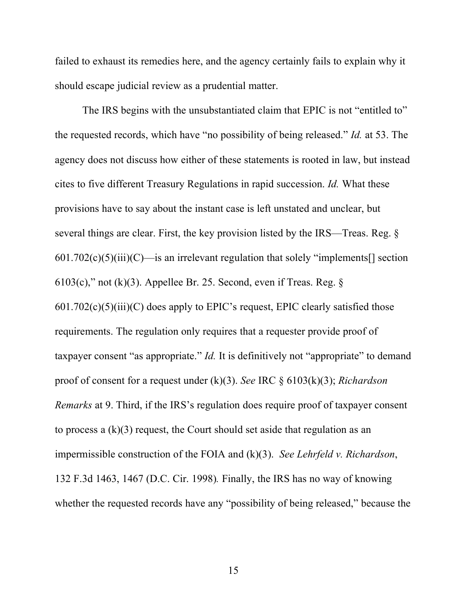failed to exhaust its remedies here, and the agency certainly fails to explain why it should escape judicial review as a prudential matter.

The IRS begins with the unsubstantiated claim that EPIC is not "entitled to" the requested records, which have "no possibility of being released." *Id.* at 53. The agency does not discuss how either of these statements is rooted in law, but instead cites to five different Treasury Regulations in rapid succession. *Id.* What these provisions have to say about the instant case is left unstated and unclear, but several things are clear. First, the key provision listed by the IRS—Treas. Reg. §  $601.702(c)(5)(iii)(C)$ —is an irrelevant regulation that solely "implements<sup>[]</sup> section  $6103(c)$ ," not (k)(3). Appellee Br. 25. Second, even if Treas. Reg. §  $601.702(c)(5)(iii)(C)$  does apply to EPIC's request, EPIC clearly satisfied those requirements. The regulation only requires that a requester provide proof of taxpayer consent "as appropriate." *Id.* It is definitively not "appropriate" to demand proof of consent for a request under (k)(3). *See* IRC § 6103(k)(3); *Richardson Remarks* at 9. Third, if the IRS's regulation does require proof of taxpayer consent to process a (k)(3) request, the Court should set aside that regulation as an impermissible construction of the FOIA and (k)(3). *See Lehrfeld v. Richardson*, 132 F.3d 1463, 1467 (D.C. Cir. 1998)*.* Finally, the IRS has no way of knowing whether the requested records have any "possibility of being released," because the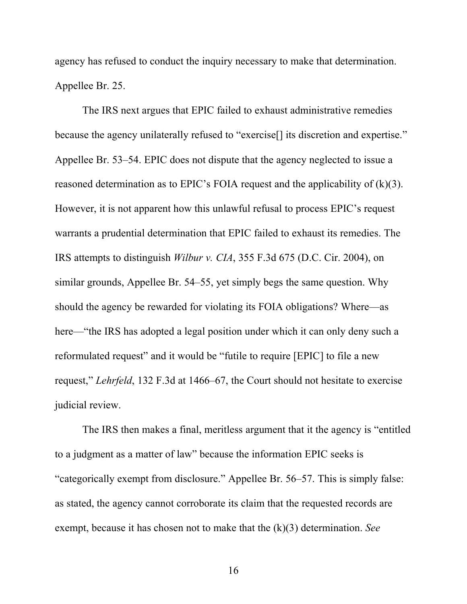agency has refused to conduct the inquiry necessary to make that determination. Appellee Br. 25.

The IRS next argues that EPIC failed to exhaust administrative remedies because the agency unilaterally refused to "exercise[] its discretion and expertise." Appellee Br. 53–54. EPIC does not dispute that the agency neglected to issue a reasoned determination as to EPIC's FOIA request and the applicability of  $(k)(3)$ . However, it is not apparent how this unlawful refusal to process EPIC's request warrants a prudential determination that EPIC failed to exhaust its remedies. The IRS attempts to distinguish *Wilbur v. CIA*, 355 F.3d 675 (D.C. Cir. 2004), on similar grounds, Appellee Br. 54–55, yet simply begs the same question. Why should the agency be rewarded for violating its FOIA obligations? Where—as here—"the IRS has adopted a legal position under which it can only deny such a reformulated request" and it would be "futile to require [EPIC] to file a new request," *Lehrfeld*, 132 F.3d at 1466–67, the Court should not hesitate to exercise judicial review.

The IRS then makes a final, meritless argument that it the agency is "entitled to a judgment as a matter of law" because the information EPIC seeks is "categorically exempt from disclosure." Appellee Br. 56–57. This is simply false: as stated, the agency cannot corroborate its claim that the requested records are exempt, because it has chosen not to make that the (k)(3) determination. *See*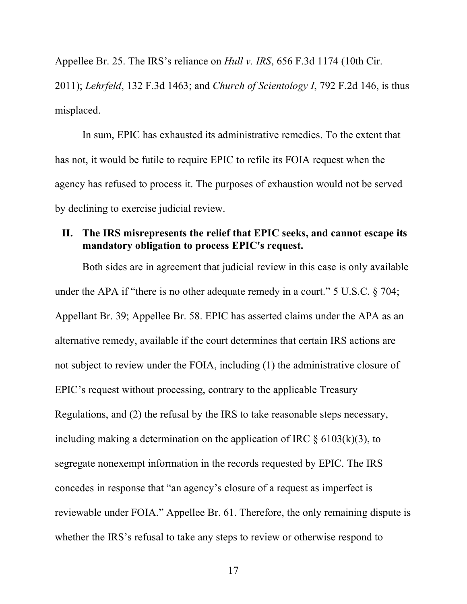Appellee Br. 25. The IRS's reliance on *Hull v. IRS*, 656 F.3d 1174 (10th Cir.

2011); *Lehrfeld*, 132 F.3d 1463; and *Church of Scientology I*, 792 F.2d 146, is thus misplaced.

In sum, EPIC has exhausted its administrative remedies. To the extent that has not, it would be futile to require EPIC to refile its FOIA request when the agency has refused to process it. The purposes of exhaustion would not be served by declining to exercise judicial review.

#### **II. The IRS misrepresents the relief that EPIC seeks, and cannot escape its mandatory obligation to process EPIC's request.**

Both sides are in agreement that judicial review in this case is only available under the APA if "there is no other adequate remedy in a court." 5 U.S.C. § 704; Appellant Br. 39; Appellee Br. 58. EPIC has asserted claims under the APA as an alternative remedy, available if the court determines that certain IRS actions are not subject to review under the FOIA, including (1) the administrative closure of EPIC's request without processing, contrary to the applicable Treasury Regulations, and (2) the refusal by the IRS to take reasonable steps necessary, including making a determination on the application of IRC  $\S$  6103(k)(3), to segregate nonexempt information in the records requested by EPIC. The IRS concedes in response that "an agency's closure of a request as imperfect is reviewable under FOIA." Appellee Br. 61. Therefore, the only remaining dispute is whether the IRS's refusal to take any steps to review or otherwise respond to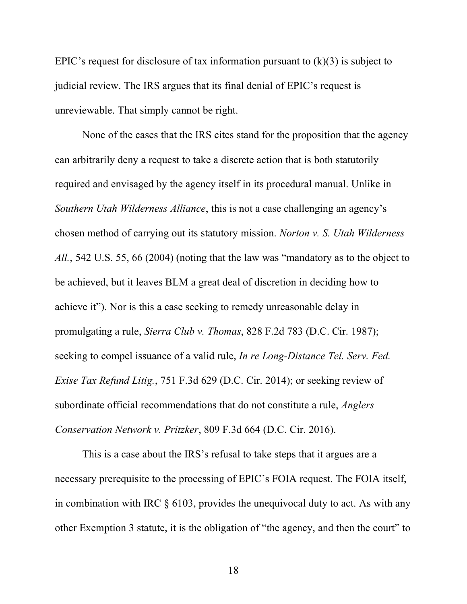EPIC's request for disclosure of tax information pursuant to  $(k)(3)$  is subject to judicial review. The IRS argues that its final denial of EPIC's request is unreviewable. That simply cannot be right.

None of the cases that the IRS cites stand for the proposition that the agency can arbitrarily deny a request to take a discrete action that is both statutorily required and envisaged by the agency itself in its procedural manual. Unlike in *Southern Utah Wilderness Alliance*, this is not a case challenging an agency's chosen method of carrying out its statutory mission. *Norton v. S. Utah Wilderness All.*, 542 U.S. 55, 66 (2004) (noting that the law was "mandatory as to the object to be achieved, but it leaves BLM a great deal of discretion in deciding how to achieve it"). Nor is this a case seeking to remedy unreasonable delay in promulgating a rule, *Sierra Club v. Thomas*, 828 F.2d 783 (D.C. Cir. 1987); seeking to compel issuance of a valid rule, *In re Long-Distance Tel. Serv. Fed. Exise Tax Refund Litig.*, 751 F.3d 629 (D.C. Cir. 2014); or seeking review of subordinate official recommendations that do not constitute a rule, *Anglers Conservation Network v. Pritzker*, 809 F.3d 664 (D.C. Cir. 2016).

This is a case about the IRS's refusal to take steps that it argues are a necessary prerequisite to the processing of EPIC's FOIA request. The FOIA itself, in combination with IRC  $\S 6103$ , provides the unequivocal duty to act. As with any other Exemption 3 statute, it is the obligation of "the agency, and then the court" to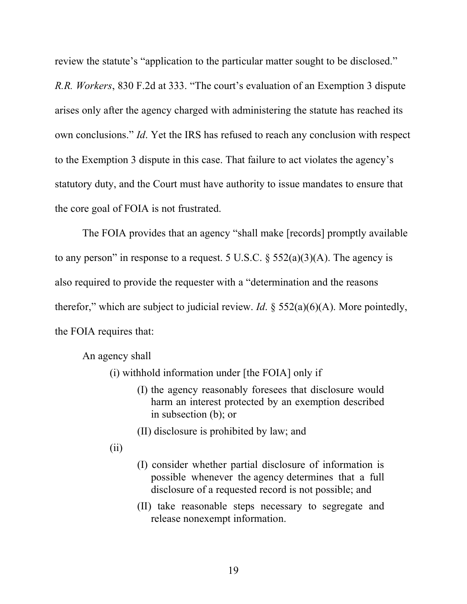review the statute's "application to the particular matter sought to be disclosed."

*R.R. Workers*, 830 F.2d at 333. "The court's evaluation of an Exemption 3 dispute arises only after the agency charged with administering the statute has reached its own conclusions." *Id*. Yet the IRS has refused to reach any conclusion with respect to the Exemption 3 dispute in this case. That failure to act violates the agency's statutory duty, and the Court must have authority to issue mandates to ensure that the core goal of FOIA is not frustrated.

The FOIA provides that an agency "shall make [records] promptly available to any person" in response to a request. 5 U.S.C.  $\S$  552(a)(3)(A). The agency is also required to provide the requester with a "determination and the reasons therefor," which are subject to judicial review. *Id*. § 552(a)(6)(A). More pointedly, the FOIA requires that:

An agency shall

- (i) withhold information under [the FOIA] only if
	- (I) the agency reasonably foresees that disclosure would harm an interest protected by an exemption described in subsection (b); or
	- (II) disclosure is prohibited by law; and
- (ii)
- (I) consider whether partial disclosure of information is possible whenever the agency determines that a full disclosure of a requested record is not possible; and
- (II) take reasonable steps necessary to segregate and release nonexempt information.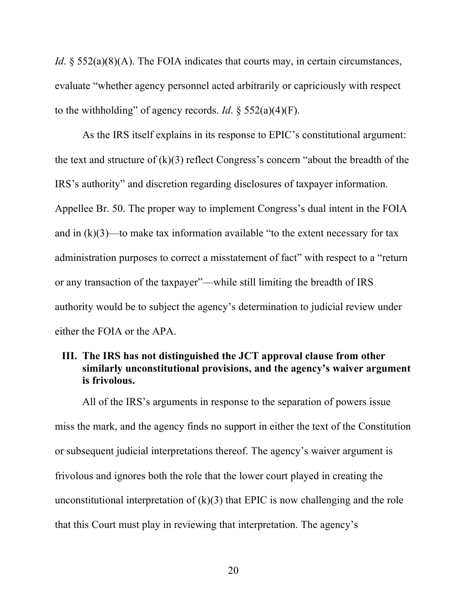*Id.* § 552(a)(8)(A). The FOIA indicates that courts may, in certain circumstances, evaluate "whether agency personnel acted arbitrarily or capriciously with respect to the withholding" of agency records. *Id*. § 552(a)(4)(F).

As the IRS itself explains in its response to EPIC's constitutional argument: the text and structure of  $(k)(3)$  reflect Congress's concern "about the breadth of the IRS's authority" and discretion regarding disclosures of taxpayer information. Appellee Br. 50. The proper way to implement Congress's dual intent in the FOIA and in  $(k)(3)$ —to make tax information available "to the extent necessary for tax administration purposes to correct a misstatement of fact" with respect to a "return or any transaction of the taxpayer"—while still limiting the breadth of IRS authority would be to subject the agency's determination to judicial review under either the FOIA or the APA.

### **III. The IRS has not distinguished the JCT approval clause from other similarly unconstitutional provisions, and the agency's waiver argument is frivolous.**

All of the IRS's arguments in response to the separation of powers issue miss the mark, and the agency finds no support in either the text of the Constitution or subsequent judicial interpretations thereof. The agency's waiver argument is frivolous and ignores both the role that the lower court played in creating the unconstitutional interpretation of  $(k)(3)$  that EPIC is now challenging and the role that this Court must play in reviewing that interpretation. The agency's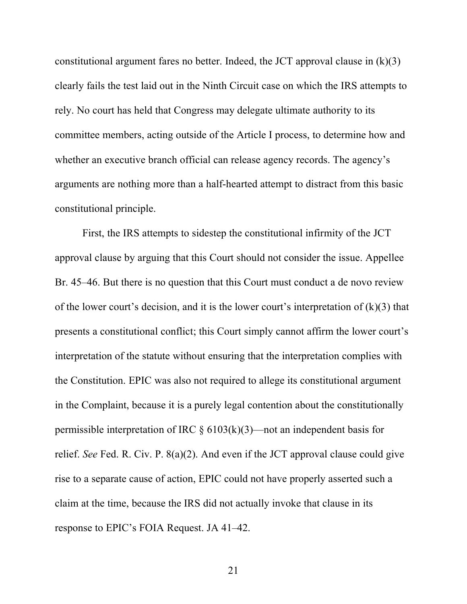constitutional argument fares no better. Indeed, the JCT approval clause in  $(k)(3)$ clearly fails the test laid out in the Ninth Circuit case on which the IRS attempts to rely. No court has held that Congress may delegate ultimate authority to its committee members, acting outside of the Article I process, to determine how and whether an executive branch official can release agency records. The agency's arguments are nothing more than a half-hearted attempt to distract from this basic constitutional principle.

First, the IRS attempts to sidestep the constitutional infirmity of the JCT approval clause by arguing that this Court should not consider the issue. Appellee Br. 45–46. But there is no question that this Court must conduct a de novo review of the lower court's decision, and it is the lower court's interpretation of  $(k)(3)$  that presents a constitutional conflict; this Court simply cannot affirm the lower court's interpretation of the statute without ensuring that the interpretation complies with the Constitution. EPIC was also not required to allege its constitutional argument in the Complaint, because it is a purely legal contention about the constitutionally permissible interpretation of IRC  $\S 6103(k)(3)$ —not an independent basis for relief. *See* Fed. R. Civ. P. 8(a)(2). And even if the JCT approval clause could give rise to a separate cause of action, EPIC could not have properly asserted such a claim at the time, because the IRS did not actually invoke that clause in its response to EPIC's FOIA Request. JA 41–42.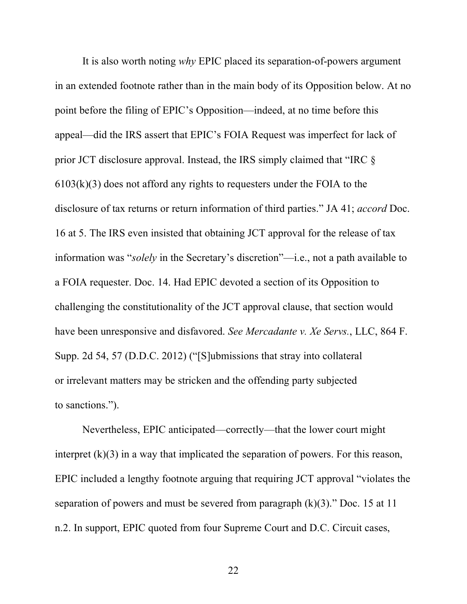It is also worth noting *why* EPIC placed its separation-of-powers argument in an extended footnote rather than in the main body of its Opposition below. At no point before the filing of EPIC's Opposition—indeed, at no time before this appeal—did the IRS assert that EPIC's FOIA Request was imperfect for lack of prior JCT disclosure approval. Instead, the IRS simply claimed that "IRC §  $6103(k)(3)$  does not afford any rights to requesters under the FOIA to the disclosure of tax returns or return information of third parties." JA 41; *accord* Doc. 16 at 5. The IRS even insisted that obtaining JCT approval for the release of tax information was "*solely* in the Secretary's discretion"—i.e., not a path available to a FOIA requester. Doc. 14. Had EPIC devoted a section of its Opposition to challenging the constitutionality of the JCT approval clause, that section would have been unresponsive and disfavored. *See Mercadante v. Xe Servs.*, LLC, 864 F. Supp. 2d 54, 57 (D.D.C. 2012) ("[S]ubmissions that stray into collateral or irrelevant matters may be stricken and the offending party subjected to sanctions.").

Nevertheless, EPIC anticipated—correctly—that the lower court might interpret (k)(3) in a way that implicated the separation of powers. For this reason, EPIC included a lengthy footnote arguing that requiring JCT approval "violates the separation of powers and must be severed from paragraph  $(k)(3)$ ." Doc. 15 at 11 n.2. In support, EPIC quoted from four Supreme Court and D.C. Circuit cases,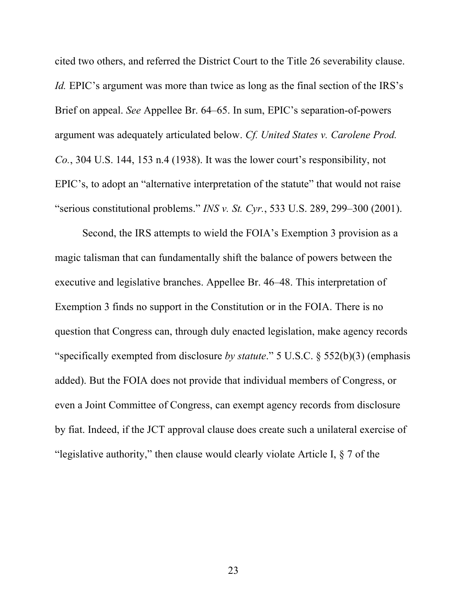cited two others, and referred the District Court to the Title 26 severability clause. *Id.* EPIC's argument was more than twice as long as the final section of the IRS's Brief on appeal. *See* Appellee Br. 64–65. In sum, EPIC's separation-of-powers argument was adequately articulated below. *Cf. United States v. Carolene Prod. Co.*, 304 U.S. 144, 153 n.4 (1938). It was the lower court's responsibility, not EPIC's, to adopt an "alternative interpretation of the statute" that would not raise "serious constitutional problems." *INS v. St. Cyr.*, 533 U.S. 289, 299–300 (2001).

Second, the IRS attempts to wield the FOIA's Exemption 3 provision as a magic talisman that can fundamentally shift the balance of powers between the executive and legislative branches. Appellee Br. 46–48. This interpretation of Exemption 3 finds no support in the Constitution or in the FOIA. There is no question that Congress can, through duly enacted legislation, make agency records "specifically exempted from disclosure *by statute*." 5 U.S.C. § 552(b)(3) (emphasis added). But the FOIA does not provide that individual members of Congress, or even a Joint Committee of Congress, can exempt agency records from disclosure by fiat. Indeed, if the JCT approval clause does create such a unilateral exercise of "legislative authority," then clause would clearly violate Article I, § 7 of the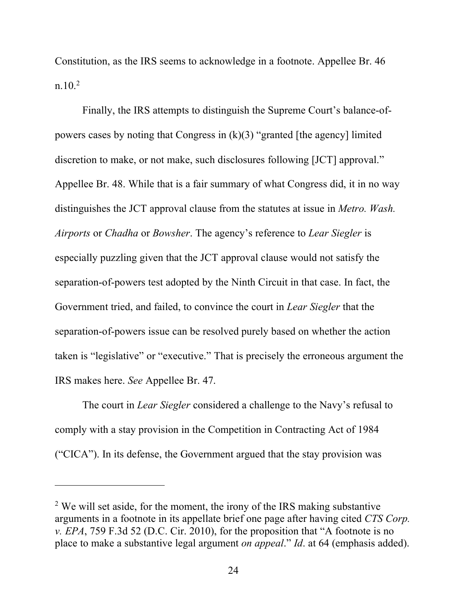Constitution, as the IRS seems to acknowledge in a footnote. Appellee Br. 46  $n.10^{2}$ 

Finally, the IRS attempts to distinguish the Supreme Court's balance-ofpowers cases by noting that Congress in  $(k)(3)$  "granted [the agency] limited discretion to make, or not make, such disclosures following [JCT] approval." Appellee Br. 48. While that is a fair summary of what Congress did, it in no way distinguishes the JCT approval clause from the statutes at issue in *Metro. Wash. Airports* or *Chadha* or *Bowsher*. The agency's reference to *Lear Siegler* is especially puzzling given that the JCT approval clause would not satisfy the separation-of-powers test adopted by the Ninth Circuit in that case. In fact, the Government tried, and failed, to convince the court in *Lear Siegler* that the separation-of-powers issue can be resolved purely based on whether the action taken is "legislative" or "executive." That is precisely the erroneous argument the IRS makes here. *See* Appellee Br. 47.

The court in *Lear Siegler* considered a challenge to the Navy's refusal to comply with a stay provision in the Competition in Contracting Act of 1984 ("CICA"). In its defense, the Government argued that the stay provision was

 $\overline{a}$ 

<sup>&</sup>lt;sup>2</sup> We will set aside, for the moment, the irony of the IRS making substantive arguments in a footnote in its appellate brief one page after having cited *CTS Corp. v. EPA*, 759 F.3d 52 (D.C. Cir. 2010), for the proposition that "A footnote is no place to make a substantive legal argument *on appeal*." *Id*. at 64 (emphasis added).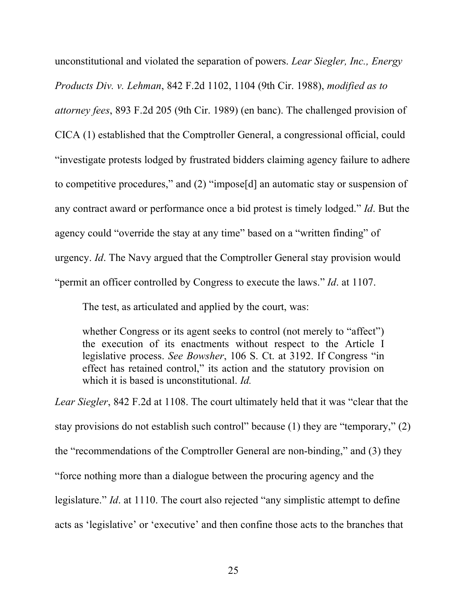unconstitutional and violated the separation of powers. *Lear Siegler, Inc., Energy Products Div. v. Lehman*, 842 F.2d 1102, 1104 (9th Cir. 1988), *modified as to attorney fees*, 893 F.2d 205 (9th Cir. 1989) (en banc). The challenged provision of CICA (1) established that the Comptroller General, a congressional official, could "investigate protests lodged by frustrated bidders claiming agency failure to adhere to competitive procedures," and (2) "impose[d] an automatic stay or suspension of any contract award or performance once a bid protest is timely lodged." *Id*. But the agency could "override the stay at any time" based on a "written finding" of urgency. *Id*. The Navy argued that the Comptroller General stay provision would "permit an officer controlled by Congress to execute the laws." *Id*. at 1107.

The test, as articulated and applied by the court, was:

whether Congress or its agent seeks to control (not merely to "affect") the execution of its enactments without respect to the Article I legislative process. *See Bowsher*, 106 S. Ct. at 3192. If Congress "in effect has retained control," its action and the statutory provision on which it is based is unconstitutional. *Id.*

*Lear Siegler*, 842 F.2d at 1108. The court ultimately held that it was "clear that the stay provisions do not establish such control" because (1) they are "temporary," (2) the "recommendations of the Comptroller General are non-binding," and (3) they "force nothing more than a dialogue between the procuring agency and the legislature." *Id*. at 1110. The court also rejected "any simplistic attempt to define acts as 'legislative' or 'executive' and then confine those acts to the branches that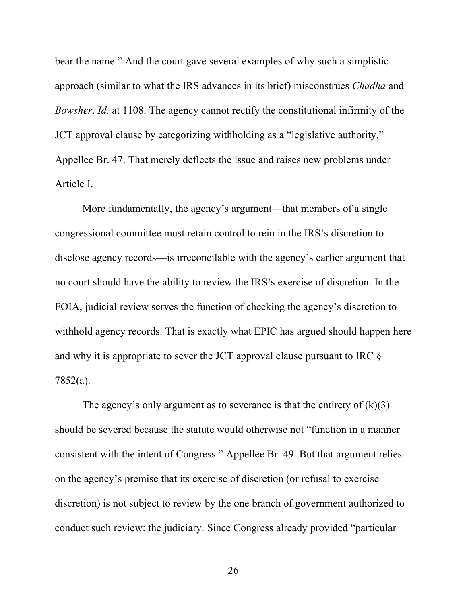bear the name." And the court gave several examples of why such a simplistic approach (similar to what the IRS advances in its brief) misconstrues *Chadha* and *Bowsher*. *Id.* at 1108. The agency cannot rectify the constitutional infirmity of the JCT approval clause by categorizing withholding as a "legislative authority." Appellee Br. 47. That merely deflects the issue and raises new problems under Article I.

More fundamentally, the agency's argument—that members of a single congressional committee must retain control to rein in the IRS's discretion to disclose agency records—is irreconcilable with the agency's earlier argument that no court should have the ability to review the IRS's exercise of discretion. In the FOIA, judicial review serves the function of checking the agency's discretion to withhold agency records. That is exactly what EPIC has argued should happen here and why it is appropriate to sever the JCT approval clause pursuant to IRC § 7852(a).

The agency's only argument as to severance is that the entirety of  $(k)(3)$ should be severed because the statute would otherwise not "function in a manner consistent with the intent of Congress." Appellee Br. 49. But that argument relies on the agency's premise that its exercise of discretion (or refusal to exercise discretion) is not subject to review by the one branch of government authorized to conduct such review: the judiciary. Since Congress already provided "particular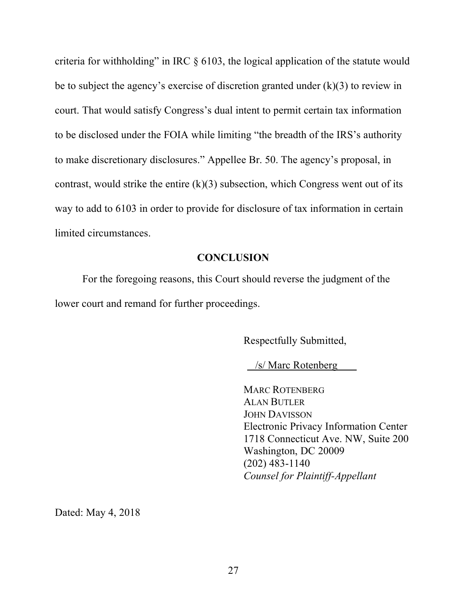criteria for withholding" in IRC § 6103, the logical application of the statute would be to subject the agency's exercise of discretion granted under  $(k)(3)$  to review in court. That would satisfy Congress's dual intent to permit certain tax information to be disclosed under the FOIA while limiting "the breadth of the IRS's authority to make discretionary disclosures." Appellee Br. 50. The agency's proposal, in contrast, would strike the entire  $(k)(3)$  subsection, which Congress went out of its way to add to 6103 in order to provide for disclosure of tax information in certain limited circumstances.

#### **CONCLUSION**

For the foregoing reasons, this Court should reverse the judgment of the lower court and remand for further proceedings.

Respectfully Submitted,

/s/ Marc Rotenberg

MARC ROTENBERG ALAN BUTLER JOHN DAVISSON Electronic Privacy Information Center 1718 Connecticut Ave. NW, Suite 200 Washington, DC 20009 (202) 483-1140 *Counsel for Plaintiff-Appellant*

Dated: May 4, 2018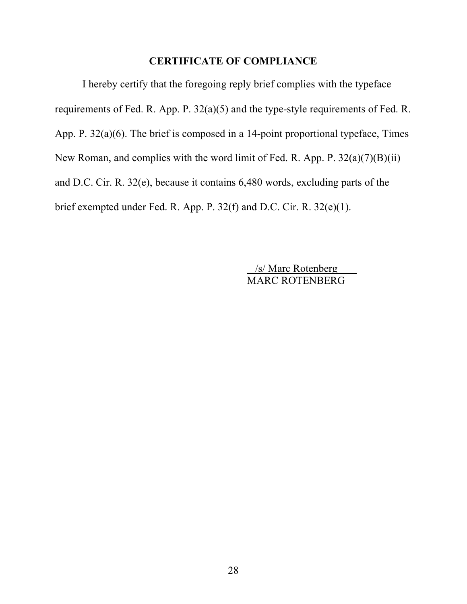#### **CERTIFICATE OF COMPLIANCE**

I hereby certify that the foregoing reply brief complies with the typeface requirements of Fed. R. App. P. 32(a)(5) and the type-style requirements of Fed. R. App. P. 32(a)(6). The brief is composed in a 14-point proportional typeface, Times New Roman, and complies with the word limit of Fed. R. App. P.  $32(a)(7)(B)(ii)$ and D.C. Cir. R. 32(e), because it contains 6,480 words, excluding parts of the brief exempted under Fed. R. App. P. 32(f) and D.C. Cir. R. 32(e)(1).

> /s/ Marc Rotenberg MARC ROTENBERG